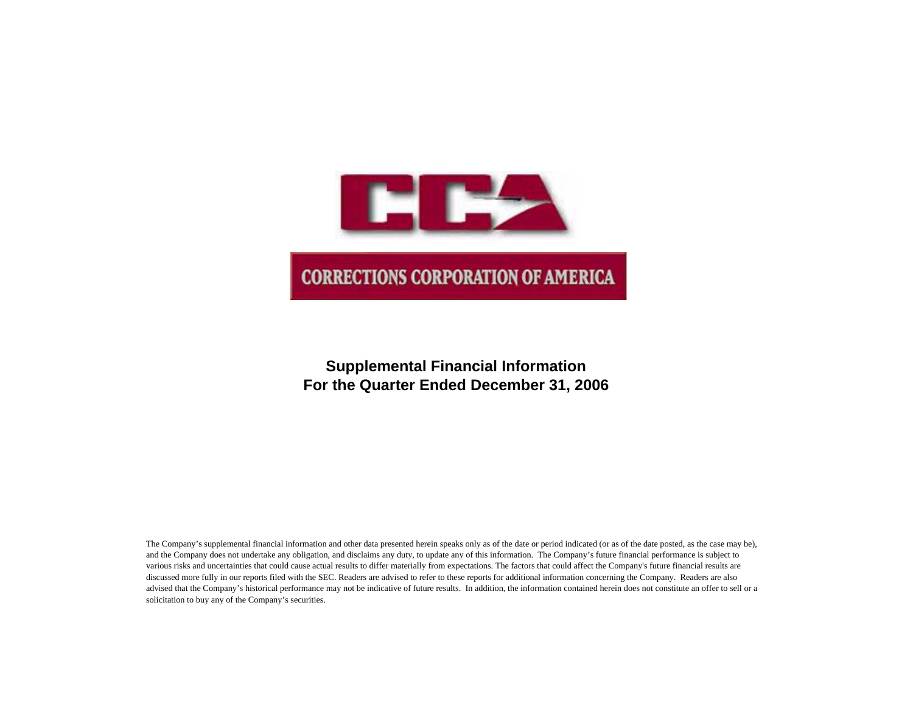

## **Supplemental Financial Information For the Quarter Ended December 31, 2006**

The Company's supplemental financial information and other data presented herein speaks only as of the date or period indicated (or as of the date posted, as the case may be), and the Company does not undertake any obligation, and disclaims any duty, to update any of this information. The Company's future financial performance is subject to various risks and uncertainties that could cause actual results to differ materially from expectations. The factors that could affect the Company's future financial results are discussed more fully in our reports filed with the SEC. Readers are advised to refer to these reports for additional information concerning the Company. Readers are also advised that the Company's historical performance may not be indicative of future results. In addition, the information contained herein does not constitute an offer to sell or a solicitation to buy any of the Company's securities.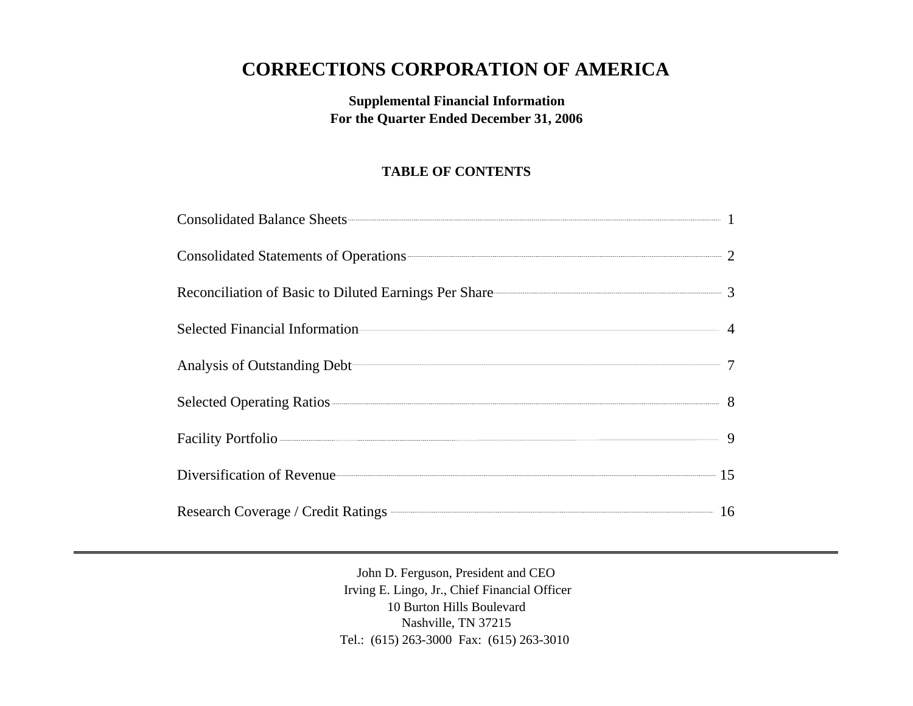# **CORRECTIONS CORPORATION OF AMERICA**

## **Supplemental Financial Information For the Quarter Ended December 31, 2006**

## **TABLE OF CONTENTS**

| Consolidated Statements of Operations 22                |  |
|---------------------------------------------------------|--|
| Reconciliation of Basic to Diluted Earnings Per Share 3 |  |
| Selected Financial Information                          |  |
| Analysis of Outstanding Debt 7                          |  |
| Selected Operating Ratios 38                            |  |
| Facility Portfolio 9                                    |  |
| Diversification of Revenue 15                           |  |
| Research Coverage / Credit Ratings <b>COVER 16</b> 16   |  |

John D. Ferguson, President and CEO Irving E. Lingo, Jr., Chief Financial Officer 10 Burton Hills Boulevard Nashville, TN 37215 Tel.: (615) 263-3000 Fax: (615) 263-3010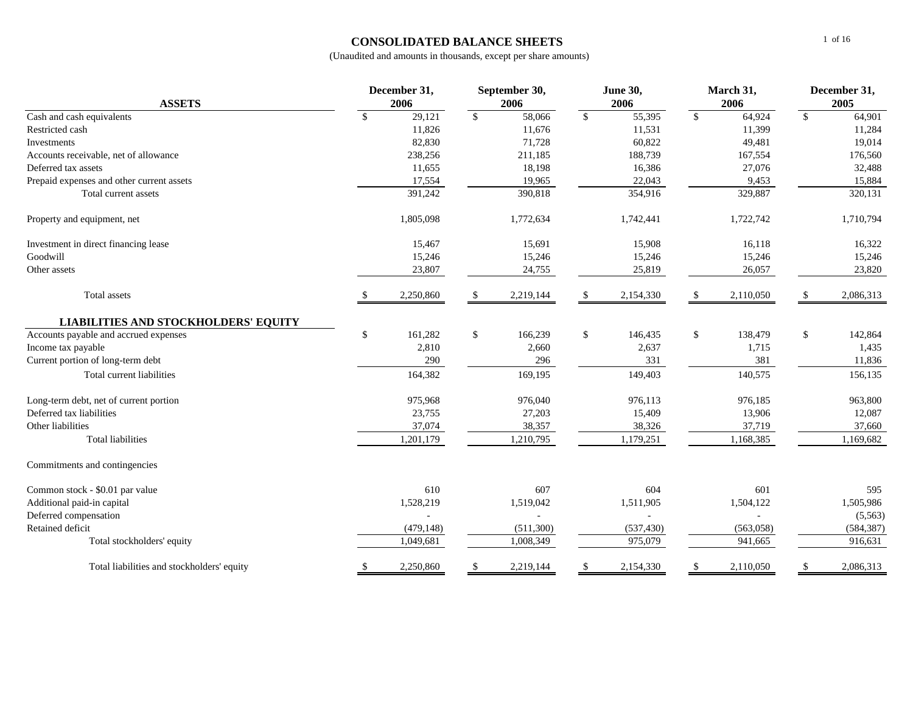### **CONSOLIDATED BALANCE SHEETS**

| <b>ASSETS</b>                               | December 31,<br>2006 |            |    | September 30,<br>2006 |              | <b>June 30,</b><br>2006 |               | March 31,<br>2006 | December 31,<br>2005 |            |
|---------------------------------------------|----------------------|------------|----|-----------------------|--------------|-------------------------|---------------|-------------------|----------------------|------------|
| Cash and cash equivalents                   | \$                   | 29,121     | \$ | 58,066                | $\mathbb{S}$ | 55,395                  | $\mathbb{S}$  | 64,924            | $\mathbb{S}$         | 64,901     |
| Restricted cash                             |                      | 11,826     |    | 11,676                |              | 11,531                  |               | 11,399            |                      | 11,284     |
| Investments                                 |                      | 82,830     |    | 71,728                |              | 60,822                  |               | 49,481            |                      | 19,014     |
| Accounts receivable, net of allowance       |                      | 238,256    |    | 211,185               |              | 188,739                 |               | 167,554           |                      | 176,560    |
| Deferred tax assets                         |                      | 11,655     |    | 18,198                |              | 16,386                  |               | 27,076            |                      | 32,488     |
| Prepaid expenses and other current assets   |                      | 17,554     |    | 19,965                |              | 22,043                  |               | 9,453             |                      | 15,884     |
| Total current assets                        |                      | 391,242    |    | 390,818               |              | 354,916                 |               | 329,887           |                      | 320,131    |
| Property and equipment, net                 |                      | 1,805,098  |    | 1,772,634             |              | 1,742,441               |               | 1,722,742         |                      | 1,710,794  |
| Investment in direct financing lease        |                      | 15,467     |    | 15,691                |              | 15,908                  |               | 16,118            |                      | 16,322     |
| Goodwill                                    |                      | 15,246     |    | 15,246                |              | 15,246                  |               | 15,246            |                      | 15,246     |
| Other assets                                |                      | 23,807     |    | 24,755                |              | 25,819                  |               | 26,057            |                      | 23,820     |
| Total assets                                |                      | 2,250,860  |    | 2,219,144             | S            | 2,154,330               |               | 2,110,050         |                      | 2,086,313  |
| <b>LIABILITIES AND STOCKHOLDERS' EQUITY</b> |                      |            |    |                       |              |                         |               |                   |                      |            |
| Accounts payable and accrued expenses       | \$                   | 161,282    | \$ | 166,239               | \$           | 146,435                 | \$            | 138,479           | \$                   | 142,864    |
| Income tax payable                          |                      | 2,810      |    | 2,660                 |              | 2,637                   |               | 1,715             |                      | 1,435      |
| Current portion of long-term debt           |                      | 290        |    | 296                   |              | 331                     |               | 381               |                      | 11,836     |
| Total current liabilities                   |                      | 164,382    |    | 169,195               |              | 149,403                 |               | 140,575           |                      | 156,135    |
| Long-term debt, net of current portion      |                      | 975,968    |    | 976,040               |              | 976,113                 |               | 976,185           |                      | 963,800    |
| Deferred tax liabilities                    |                      | 23,755     |    | 27,203                |              | 15,409                  |               | 13,906            |                      | 12,087     |
| Other liabilities                           |                      | 37,074     |    | 38,357                |              | 38,326                  |               | 37,719            |                      | 37,660     |
| <b>Total liabilities</b>                    |                      | 1,201,179  |    | 1,210,795             |              | 1,179,251               |               | 1,168,385         |                      | 1,169,682  |
| Commitments and contingencies               |                      |            |    |                       |              |                         |               |                   |                      |            |
| Common stock - \$0.01 par value             |                      | 610        |    | 607                   |              | 604                     |               | 601               |                      | 595        |
| Additional paid-in capital                  |                      | 1,528,219  |    | 1,519,042             |              | 1,511,905               |               | 1,504,122         |                      | 1,505,986  |
| Deferred compensation                       |                      |            |    |                       |              |                         |               |                   |                      | (5,563)    |
| Retained deficit                            |                      | (479, 148) |    | (511,300)             |              | (537, 430)              |               | (563,058)         |                      | (584, 387) |
| Total stockholders' equity                  |                      | 1,049,681  |    | 1,008,349             |              | 975,079                 |               | 941,665           |                      | 916,631    |
| Total liabilities and stockholders' equity  | \$                   | 2,250,860  | S  | 2,219,144             | \$           | 2,154,330               | <sup>\$</sup> | 2,110,050         | \$                   | 2,086,313  |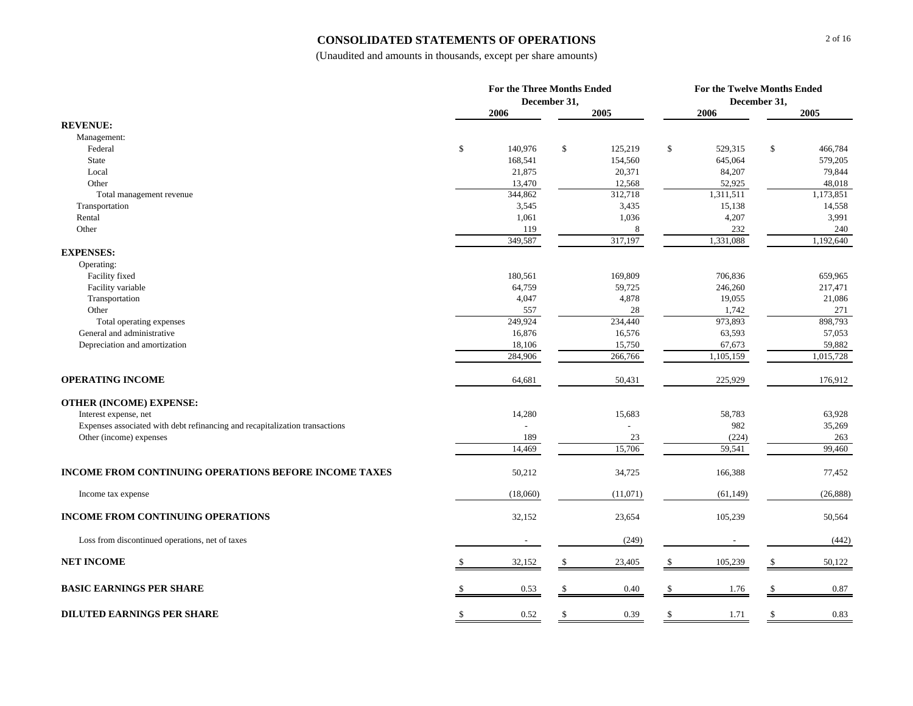#### **CONSOLIDATED STATEMENTS OF OPERATIONS**

|                                                                             |    | <b>For the Three Months Ended</b> | December 31, |                   |     |                     | For the Twelve Months Ended<br>December 31, |                     |  |
|-----------------------------------------------------------------------------|----|-----------------------------------|--------------|-------------------|-----|---------------------|---------------------------------------------|---------------------|--|
|                                                                             |    | 2006                              |              | 2005              |     | 2006                |                                             | 2005                |  |
| <b>REVENUE:</b>                                                             |    |                                   |              |                   |     |                     |                                             |                     |  |
| Management:                                                                 |    |                                   |              |                   |     |                     |                                             |                     |  |
| Federal                                                                     | \$ | 140,976                           | $\mathbb{S}$ | 125,219           | \$  | 529,315             | $\mathbb{S}$                                | 466,784             |  |
| <b>State</b>                                                                |    | 168,541                           |              | 154,560           |     | 645,064             |                                             | 579,205             |  |
| Local                                                                       |    | 21,875                            |              | 20,371            |     | 84,207              |                                             | 79,844              |  |
| Other                                                                       |    | 13,470<br>344,862                 |              | 12,568<br>312,718 |     | 52,925<br>1,311,511 |                                             | 48,018<br>1,173,851 |  |
| Total management revenue<br>Transportation                                  |    | 3,545                             |              | 3,435             |     | 15,138              |                                             | 14,558              |  |
| Rental                                                                      |    | 1,061                             |              | 1,036             |     | 4,207               |                                             | 3,991               |  |
| Other                                                                       |    | 119                               |              | 8                 |     | 232                 |                                             | 240                 |  |
|                                                                             |    | 349,587                           |              | 317,197           |     | 1,331,088           |                                             | 1,192,640           |  |
| <b>EXPENSES:</b>                                                            |    |                                   |              |                   |     |                     |                                             |                     |  |
| Operating:                                                                  |    |                                   |              |                   |     |                     |                                             |                     |  |
| Facility fixed                                                              |    | 180,561                           |              | 169,809           |     | 706,836             |                                             | 659,965             |  |
| Facility variable                                                           |    | 64,759                            |              | 59,725            |     | 246,260             |                                             | 217,471             |  |
| Transportation                                                              |    | 4,047                             |              | 4,878             |     | 19,055              |                                             | 21,086              |  |
| Other                                                                       |    | 557                               |              | 28                |     | 1,742               |                                             | 271                 |  |
| Total operating expenses                                                    |    | 249,924                           |              | 234,440           |     | 973,893             |                                             | 898,793             |  |
| General and administrative                                                  |    | 16,876                            |              | 16,576            |     | 63,593              |                                             | 57,053              |  |
| Depreciation and amortization                                               |    | 18,106                            |              | 15,750            |     | 67,673              |                                             | 59,882              |  |
|                                                                             |    | 284,906                           |              | 266,766           |     | 1,105,159           |                                             | 1,015,728           |  |
| <b>OPERATING INCOME</b>                                                     |    | 64,681                            |              | 50,431            |     | 225,929             |                                             | 176,912             |  |
| <b>OTHER (INCOME) EXPENSE:</b>                                              |    |                                   |              |                   |     |                     |                                             |                     |  |
| Interest expense, net                                                       |    | 14,280                            |              | 15,683            |     | 58,783              |                                             | 63,928              |  |
| Expenses associated with debt refinancing and recapitalization transactions |    |                                   |              |                   |     | 982                 |                                             | 35,269              |  |
| Other (income) expenses                                                     |    | 189                               |              | 23                |     | (224)               |                                             | 263                 |  |
|                                                                             |    | 14,469                            |              | 15,706            |     | 59,541              |                                             | 99,460              |  |
| <b>INCOME FROM CONTINUING OPERATIONS BEFORE INCOME TAXES</b>                |    | 50,212                            |              | 34,725            |     | 166,388             |                                             | 77,452              |  |
| Income tax expense                                                          |    | (18,060)                          |              | (11,071)          |     | (61, 149)           |                                             | (26, 888)           |  |
| INCOME FROM CONTINUING OPERATIONS                                           |    | 32,152                            |              | 23,654            |     | 105,239             |                                             | 50,564              |  |
| Loss from discontinued operations, net of taxes                             |    |                                   |              | (249)             |     |                     |                                             | (442)               |  |
| <b>NET INCOME</b>                                                           |    | 32,152                            |              | 23,405            | \$  | 105,239             | \$.                                         | 50,122              |  |
| <b>BASIC EARNINGS PER SHARE</b>                                             |    | 0.53                              | -S           | 0.40              | \$. | 1.76                | £.                                          | 0.87                |  |
| <b>DILUTED EARNINGS PER SHARE</b>                                           | S  | 0.52                              | S            | 0.39              | \$  | 1.71                | \$                                          | 0.83                |  |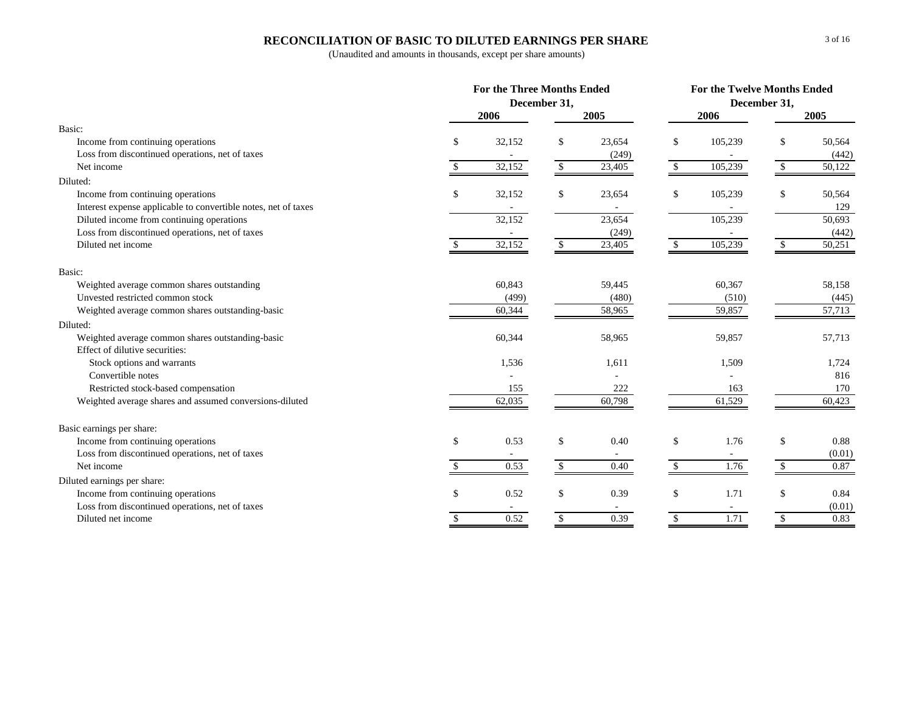### **RECONCILIATION OF BASIC TO DILUTED EARNINGS PER SHARE**

|                                                                |    | <b>For the Three Months Ended</b> |                      |        | For the Twelve Months Ended |         |             |        |  |
|----------------------------------------------------------------|----|-----------------------------------|----------------------|--------|-----------------------------|---------|-------------|--------|--|
|                                                                |    |                                   | December 31,         |        | December 31,                |         |             |        |  |
|                                                                |    | 2006                              |                      | 2005   |                             | 2006    |             | 2005   |  |
| Basic:                                                         |    |                                   |                      |        |                             |         |             |        |  |
| Income from continuing operations                              | \$ | 32,152                            | \$                   | 23,654 | \$                          | 105,239 | \$          | 50,564 |  |
| Loss from discontinued operations, net of taxes                |    |                                   |                      | (249)  |                             |         |             | (442)  |  |
| Net income                                                     | \$ | 32,152                            | $\sqrt{\frac{2}{5}}$ | 23,405 | -\$                         | 105,239 | \$          | 50,122 |  |
| Diluted:                                                       |    |                                   |                      |        |                             |         |             |        |  |
| Income from continuing operations                              | \$ | 32,152                            | \$                   | 23,654 | \$                          | 105,239 | \$          | 50,564 |  |
| Interest expense applicable to convertible notes, net of taxes |    |                                   |                      |        |                             |         |             | 129    |  |
| Diluted income from continuing operations                      |    | 32,152                            |                      | 23,654 |                             | 105,239 |             | 50,693 |  |
| Loss from discontinued operations, net of taxes                |    | $\sim$                            |                      | (249)  |                             |         |             | (442)  |  |
| Diluted net income                                             |    | 32,152                            | \$                   | 23,405 | \$                          | 105,239 | \$          | 50,251 |  |
| Basic:                                                         |    |                                   |                      |        |                             |         |             |        |  |
| Weighted average common shares outstanding                     |    | 60,843                            |                      | 59,445 |                             | 60,367  |             | 58,158 |  |
| Unvested restricted common stock                               |    | (499)                             |                      | (480)  |                             | (510)   |             | (445)  |  |
| Weighted average common shares outstanding-basic               |    | 60,344                            |                      | 58,965 |                             | 59,857  |             | 57,713 |  |
| Diluted:                                                       |    |                                   |                      |        |                             |         |             |        |  |
| Weighted average common shares outstanding-basic               |    | 60,344                            |                      | 58,965 |                             | 59,857  |             | 57,713 |  |
| Effect of dilutive securities:                                 |    |                                   |                      |        |                             |         |             |        |  |
| Stock options and warrants                                     |    | 1,536                             |                      | 1,611  |                             | 1,509   |             | 1,724  |  |
| Convertible notes                                              |    |                                   |                      |        |                             |         |             | 816    |  |
| Restricted stock-based compensation                            |    | 155                               |                      | 222    |                             | 163     |             | 170    |  |
| Weighted average shares and assumed conversions-diluted        |    | 62,035                            |                      | 60,798 |                             | 61,529  |             | 60,423 |  |
| Basic earnings per share:                                      |    |                                   |                      |        |                             |         |             |        |  |
| Income from continuing operations                              | \$ | 0.53                              | \$                   | 0.40   | \$                          | 1.76    | \$          | 0.88   |  |
| Loss from discontinued operations, net of taxes                |    |                                   |                      |        |                             |         |             | (0.01) |  |
| Net income                                                     | S. | 0.53                              | $\mathbb{S}$         | 0.40   | $\mathcal{S}$               | 1.76    | $\sqrt{3}$  | 0.87   |  |
| Diluted earnings per share:                                    |    |                                   |                      |        |                             |         |             |        |  |
| Income from continuing operations                              | \$ | 0.52                              | \$                   | 0.39   | \$                          | 1.71    | \$          | 0.84   |  |
| Loss from discontinued operations, net of taxes                |    |                                   |                      |        |                             |         |             | (0.01) |  |
| Diluted net income                                             | \$ | 0.52                              | $\mathbb{S}$         | 0.39   | $\mathbb{S}$                | 1.71    | $\mathbb S$ | 0.83   |  |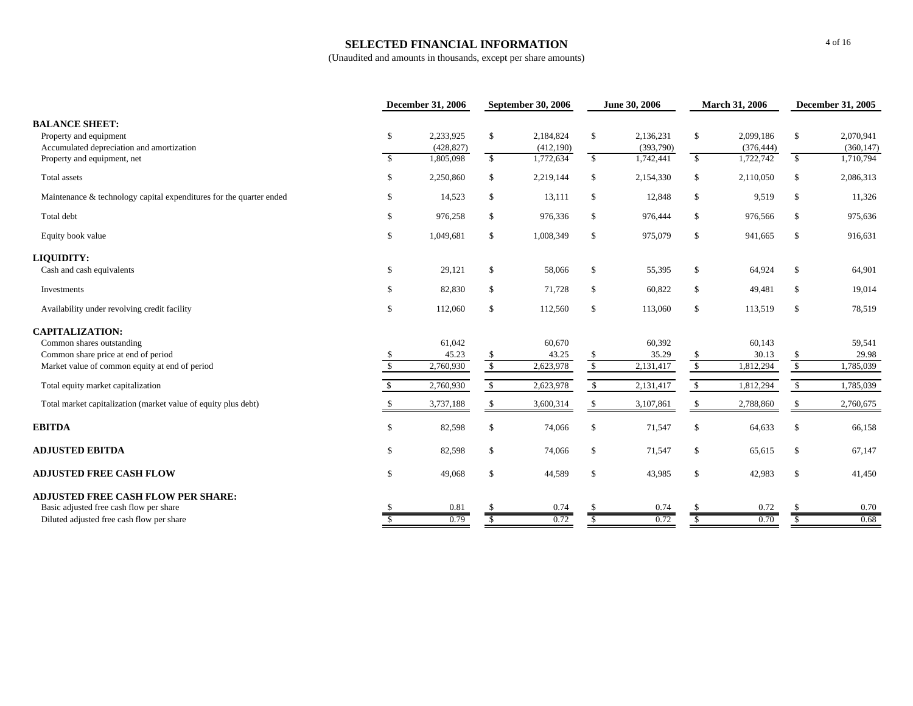#### **SELECTED FINANCIAL INFORMATION**

|                                                                     |               | <b>December 31, 2006</b> |               | <b>September 30, 2006</b> |              | June 30, 2006 | March 31, 2006         |            | <b>December 31, 2005</b> |            |
|---------------------------------------------------------------------|---------------|--------------------------|---------------|---------------------------|--------------|---------------|------------------------|------------|--------------------------|------------|
| <b>BALANCE SHEET:</b>                                               |               |                          |               |                           |              |               |                        |            |                          |            |
| Property and equipment                                              | \$            | 2,233,925                | \$            | 2,184,824                 | $\mathbb{S}$ | 2,136,231     | $\mathbb{S}$           | 2,099,186  | \$                       | 2,070,941  |
| Accumulated depreciation and amortization                           |               | (428, 827)               |               | (412, 190)                |              | (393,790)     |                        | (376, 444) |                          | (360, 147) |
| Property and equipment, net                                         | $\mathbf{s}$  | 1,805,098                | $\mathbb{S}$  | 1,772,634                 | $\mathbb{S}$ | 1,742,441     | $\mathbb{S}$           | 1,722,742  | $\mathbb{S}$             | 1,710,794  |
| Total assets                                                        | \$            | 2,250,860                | \$            | 2,219,144                 | $\mathbb S$  | 2,154,330     | \$                     | 2,110,050  | \$                       | 2,086,313  |
| Maintenance & technology capital expenditures for the quarter ended | \$            | 14,523                   | \$            | 13,111                    | \$           | 12,848        | $\mathbb{S}$           | 9,519      | \$                       | 11,326     |
| Total debt                                                          | \$            | 976,258                  | \$            | 976,336                   | \$           | 976,444       | \$                     | 976,566    | \$                       | 975,636    |
| Equity book value                                                   | \$            | 1,049,681                | \$            | 1,008,349                 | \$           | 975,079       | \$                     | 941,665    | \$                       | 916,631    |
| <b>LIQUIDITY:</b>                                                   |               |                          |               |                           |              |               |                        |            |                          |            |
| Cash and cash equivalents                                           | \$            | 29,121                   | \$            | 58,066                    | \$           | 55,395        | \$                     | 64,924     | \$                       | 64,901     |
| Investments                                                         | \$            | 82,830                   | \$            | 71,728                    | \$           | 60,822        | $\mathbb{S}$           | 49,481     | \$                       | 19,014     |
| Availability under revolving credit facility                        | \$            | 112,060                  | \$            | 112,560                   | $\mathbb S$  | 113,060       | $\mathbb{S}$           | 113,519    | \$                       | 78,519     |
| <b>CAPITALIZATION:</b>                                              |               |                          |               |                           |              |               |                        |            |                          |            |
| Common shares outstanding                                           |               | 61,042                   |               | 60,670                    |              | 60,392        |                        | 60,143     |                          | 59,541     |
| Common share price at end of period                                 |               | 45.23                    | \$.           | 43.25                     | S            | 35.29         | \$.                    | 30.13      | <sup>\$</sup>            | 29.98      |
| Market value of common equity at end of period                      | $\mathcal{S}$ | 2,760,930                | $\sqrt{3}$    | 2,623,978                 | $\sqrt{\ }$  | 2,131,417     | $\sqrt{\frac{2}{\pi}}$ | 1,812,294  | $\overline{\mathcal{S}}$ | 1,785,039  |
| Total equity market capitalization                                  | <sup>\$</sup> | 2,760,930                | $\mathbb{S}$  | 2,623,978                 | $\mathbb{S}$ | 2,131,417     | $\mathbb{S}$           | 1,812,294  | $\mathbb{S}$             | 1,785,039  |
| Total market capitalization (market value of equity plus debt)      |               | 3,737,188                | \$            | 3,600,314                 | \$           | 3,107,861     | \$                     | 2,788,860  | \$                       | 2,760,675  |
| <b>EBITDA</b>                                                       | \$            | 82,598                   | \$            | 74,066                    | \$           | 71,547        | \$                     | 64,633     | <sup>\$</sup>            | 66,158     |
| <b>ADJUSTED EBITDA</b>                                              | \$            | 82,598                   | \$            | 74,066                    | $\mathbb S$  | 71,547        | $\mathbb{S}$           | 65,615     | \$                       | 67,147     |
| <b>ADJUSTED FREE CASH FLOW</b>                                      | \$            | 49,068                   | \$            | 44,589                    | $\mathbb S$  | 43,985        | $\mathbb{S}$           | 42,983     | <sup>\$</sup>            | 41,450     |
| <b>ADJUSTED FREE CASH FLOW PER SHARE:</b>                           |               |                          |               |                           |              |               |                        |            |                          |            |
| Basic adjusted free cash flow per share                             |               | 0.81                     | £.            | 0.74                      | £.           | 0.74          | \$.                    | 0.72       |                          | 0.70       |
| Diluted adjusted free cash flow per share                           | -S            | 0.79                     | <sup>\$</sup> | 0.72                      | S            | 0.72          | <sup>\$</sup>          | 0.70       | <sup>\$</sup>            | 0.68       |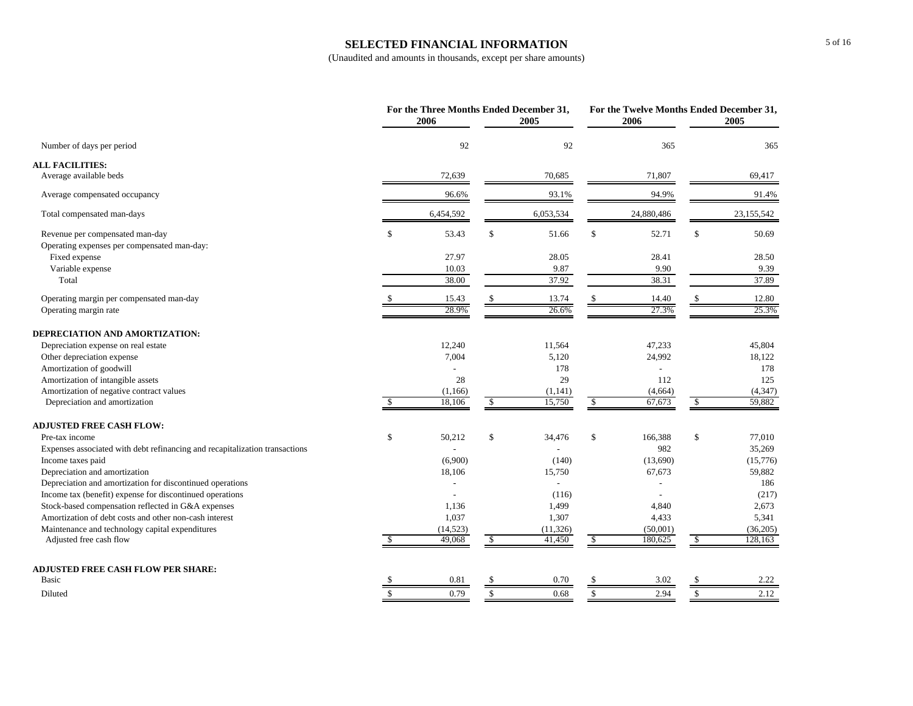#### **SELECTED FINANCIAL INFORMATION**

|                                                                             |               | For the Three Months Ended December 31,<br>2006 |               | 2005      |              | For the Twelve Months Ended December 31,<br>2006 |                         | 2005       |
|-----------------------------------------------------------------------------|---------------|-------------------------------------------------|---------------|-----------|--------------|--------------------------------------------------|-------------------------|------------|
| Number of days per period                                                   |               | 92                                              |               | 92        |              | 365                                              |                         | 365        |
| <b>ALL FACILITIES:</b>                                                      |               |                                                 |               |           |              |                                                  |                         |            |
| Average available beds                                                      |               | 72,639                                          |               | 70,685    |              | 71,807                                           |                         | 69,417     |
| Average compensated occupancy                                               |               | 96.6%                                           |               | 93.1%     |              | 94.9%                                            |                         | 91.4%      |
| Total compensated man-days                                                  |               | 6,454,592                                       |               | 6,053,534 |              | 24,880,486                                       |                         | 23,155,542 |
| Revenue per compensated man-day                                             | $\mathbb{S}$  | 53.43                                           | \$            | 51.66     | \$           | 52.71                                            | \$                      | 50.69      |
| Operating expenses per compensated man-day:                                 |               |                                                 |               |           |              |                                                  |                         |            |
| Fixed expense                                                               |               | 27.97                                           |               | 28.05     |              | 28.41                                            |                         | 28.50      |
| Variable expense                                                            |               | 10.03                                           |               | 9.87      |              | 9.90                                             |                         | 9.39       |
| Total                                                                       |               | 38.00                                           |               | 37.92     |              | 38.31                                            |                         | 37.89      |
| Operating margin per compensated man-day                                    |               | 15.43                                           |               | 13.74     | \$           | 14.40                                            | \$                      | 12.80      |
| Operating margin rate                                                       |               | 28.9%                                           |               | 26.6%     |              | 27.3%                                            |                         | 25.3%      |
| DEPRECIATION AND AMORTIZATION:                                              |               |                                                 |               |           |              |                                                  |                         |            |
| Depreciation expense on real estate                                         |               | 12,240                                          |               | 11,564    |              | 47,233                                           |                         | 45,804     |
| Other depreciation expense                                                  |               | 7,004                                           |               | 5,120     |              | 24,992                                           |                         | 18,122     |
| Amortization of goodwill                                                    |               |                                                 |               | 178       |              |                                                  |                         | 178        |
| Amortization of intangible assets                                           |               | 28                                              |               | 29        |              | 112                                              |                         | 125        |
| Amortization of negative contract values                                    |               | (1,166)                                         |               | (1,141)   |              | (4,664)                                          |                         | (4, 347)   |
| Depreciation and amortization                                               | <sup>\$</sup> | 18,106                                          | $\mathbb{S}$  | 15,750    | $\mathbb{S}$ | 67,673                                           | $\overline{\mathbf{s}}$ | 59,882     |
| <b>ADJUSTED FREE CASH FLOW:</b>                                             |               |                                                 |               |           |              |                                                  |                         |            |
| Pre-tax income                                                              | \$            | 50,212                                          | \$            | 34,476    | \$           | 166,388                                          | \$                      | 77,010     |
| Expenses associated with debt refinancing and recapitalization transactions |               |                                                 |               |           |              | 982                                              |                         | 35,269     |
| Income taxes paid                                                           |               | (6,900)                                         |               | (140)     |              | (13,690)                                         |                         | (15,776)   |
| Depreciation and amortization                                               |               | 18,106                                          |               | 15,750    |              | 67,673                                           |                         | 59,882     |
| Depreciation and amortization for discontinued operations                   |               |                                                 |               |           |              |                                                  |                         | 186        |
| Income tax (benefit) expense for discontinued operations                    |               |                                                 |               | (116)     |              |                                                  |                         | (217)      |
| Stock-based compensation reflected in G&A expenses                          |               | 1,136                                           |               | 1,499     |              | 4,840                                            |                         | 2,673      |
| Amortization of debt costs and other non-cash interest                      |               | 1,037                                           |               | 1,307     |              | 4,433                                            |                         | 5,341      |
| Maintenance and technology capital expenditures                             |               | (14, 523)                                       |               | (11, 326) |              | (50,001)                                         |                         | (36,205)   |
| Adjusted free cash flow                                                     | <sup>\$</sup> | 49,068                                          | \$            | 41,450    | -\$          | 180,625                                          | $\sqrt{3}$              | 128,163    |
| <b>ADJUSTED FREE CASH FLOW PER SHARE:</b>                                   |               |                                                 |               |           |              |                                                  |                         |            |
| Basic                                                                       |               | 0.81                                            | <sup>\$</sup> | 0.70      | \$           | 3.02                                             | -S                      | 2.22       |
| Diluted                                                                     | $\mathcal{S}$ | 0.79                                            | $\mathbb{S}$  | 0.68      | $\mathbf S$  | 2.94                                             | $\mathbf S$             | 2.12       |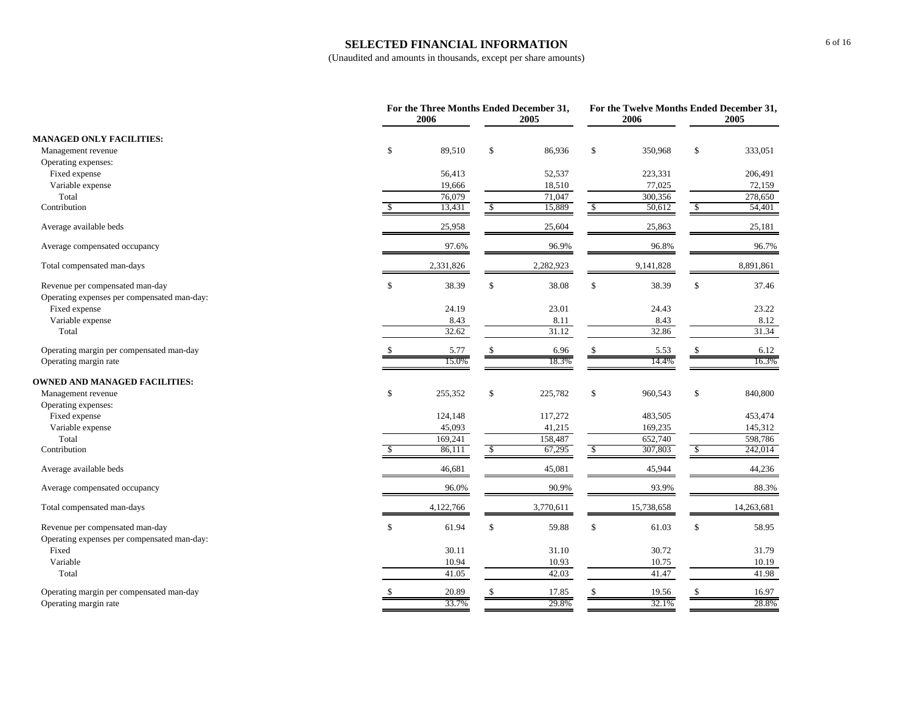#### **SELECTED FINANCIAL INFORMATION**

|                                             | 2006                  | For the Three Months Ended December 31,<br>2005 | 2006          | For the Twelve Months Ended December 31,<br>2005 |
|---------------------------------------------|-----------------------|-------------------------------------------------|---------------|--------------------------------------------------|
| <b>MANAGED ONLY FACILITIES:</b>             |                       |                                                 |               |                                                  |
| Management revenue                          | \$<br>89,510          | \$<br>86,936                                    | \$<br>350,968 | \$<br>333,051                                    |
| Operating expenses:                         |                       |                                                 |               |                                                  |
| Fixed expense                               | 56,413                | 52,537                                          | 223,331       | 206,491                                          |
| Variable expense                            | 19,666                | 18,510                                          | 77,025        | 72,159                                           |
| Total                                       | 76,079                | 71,047                                          | 300,356       | 278,650                                          |
| Contribution                                | 13,431                | $\mathbb{S}$<br>15,889                          | \$<br>50,612  | $\sqrt{2}$<br>54,401                             |
| Average available beds                      | 25,958                | 25,604                                          | 25,863        | 25,181                                           |
| Average compensated occupancy               | 97.6%                 | 96.9%                                           | 96.8%         | 96.7%                                            |
| Total compensated man-days                  | 2,331,826             | 2,282,923                                       | 9,141,828     | 8,891,861                                        |
| Revenue per compensated man-day             | $\mathbb{S}$<br>38.39 | \$<br>38.08                                     | $\$$<br>38.39 | $\mathbb{S}$<br>37.46                            |
| Operating expenses per compensated man-day: |                       |                                                 |               |                                                  |
| Fixed expense                               | 24.19                 | 23.01                                           | 24.43         | 23.22                                            |
| Variable expense                            | 8.43                  | 8.11                                            | 8.43          | 8.12                                             |
| Total                                       | 32.62                 | 31.12                                           | 32.86         | 31.34                                            |
| Operating margin per compensated man-day    | 5.77                  | 6.96<br>\$                                      | 5.53<br>\$    | 6.12<br>\$                                       |
| Operating margin rate                       | 15.0%                 | 18.3%                                           | 14.4%         | 16.3%                                            |
| <b>OWNED AND MANAGED FACILITIES:</b>        |                       |                                                 |               |                                                  |
| Management revenue                          | \$<br>255,352         | \$<br>225,782                                   | \$<br>960,543 | \$<br>840,800                                    |
| Operating expenses:                         |                       |                                                 |               |                                                  |
| Fixed expense                               | 124,148               | 117,272                                         | 483,505       | 453,474                                          |
| Variable expense                            | 45,093                | 41,215                                          | 169,235       | 145,312                                          |
| Total                                       | 169,241               | 158,487                                         | 652,740       | 598,786                                          |
| Contribution                                | 86,111                | \$<br>67,295                                    | 307,803<br>\$ | \$<br>242,014                                    |
| Average available beds                      | 46,681                | 45,081                                          | 45,944        | 44,236                                           |
| Average compensated occupancy               | 96.0%                 | 90.9%                                           | 93.9%         | 88.3%                                            |
| Total compensated man-days                  | 4,122,766             | 3,770,611                                       | 15,738,658    | 14,263,681                                       |
| Revenue per compensated man-day             | $\mathbb{S}$<br>61.94 | \$<br>59.88                                     | \$<br>61.03   | \$<br>58.95                                      |
| Operating expenses per compensated man-day: |                       |                                                 |               |                                                  |
| Fixed                                       | 30.11                 | 31.10                                           | 30.72         | 31.79                                            |
| Variable                                    | 10.94                 | 10.93                                           | 10.75         | 10.19                                            |
| Total                                       | 41.05                 | 42.03                                           | 41.47         | 41.98                                            |
| Operating margin per compensated man-day    | 20.89                 | 17.85                                           | 19.56         | 16.97                                            |
| Operating margin rate                       | 33.7%                 | 29.8%                                           | 32.1%         | 28.8%                                            |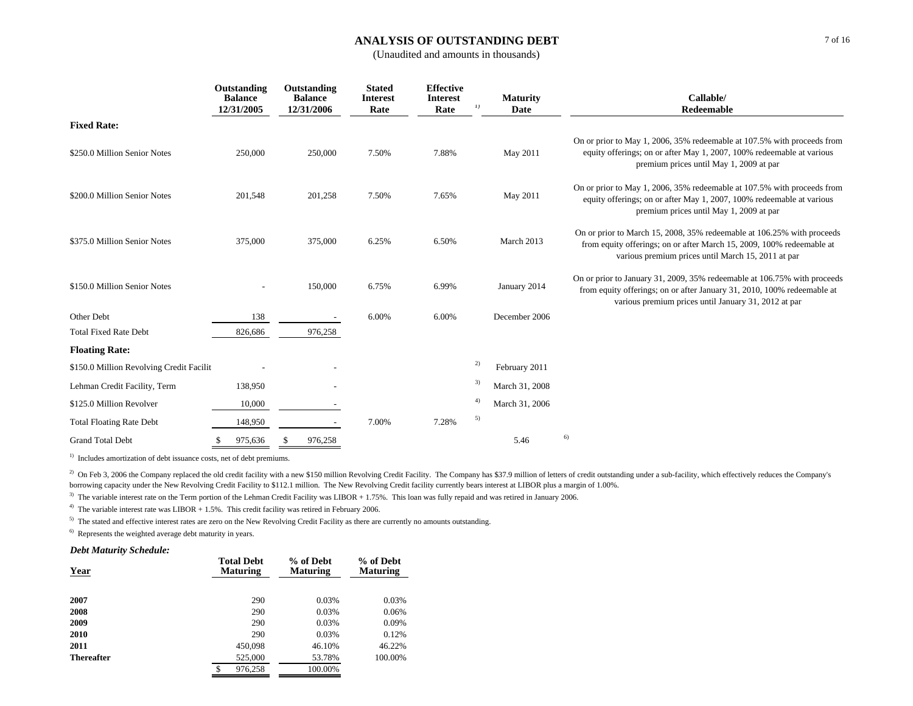#### **ANALYSIS OF OUTSTANDING DEBT**

(Unaudited and amounts in thousands)

|                                          | Outstanding<br><b>Balance</b><br>12/31/2005 | Outstanding<br><b>Balance</b><br>12/31/2006 | <b>Stated</b><br><b>Interest</b><br>Rate | <b>Effective</b><br><b>Interest</b><br>Rate | <b>Maturity</b><br>1)<br>Date | Callable/<br>Redeemable                                                                                                                                                                                     |
|------------------------------------------|---------------------------------------------|---------------------------------------------|------------------------------------------|---------------------------------------------|-------------------------------|-------------------------------------------------------------------------------------------------------------------------------------------------------------------------------------------------------------|
| <b>Fixed Rate:</b>                       |                                             |                                             |                                          |                                             |                               |                                                                                                                                                                                                             |
| \$250.0 Million Senior Notes             | 250,000                                     | 250,000                                     | 7.50%                                    | 7.88%                                       | May 2011                      | On or prior to May 1, 2006, 35% redeemable at 107.5% with proceeds from<br>equity offerings; on or after May 1, 2007, 100% redeemable at various<br>premium prices until May 1, 2009 at par                 |
| \$200.0 Million Senior Notes             | 201,548                                     | 201,258                                     | 7.50%                                    | 7.65%                                       | May 2011                      | On or prior to May 1, 2006, 35% redeemable at 107.5% with proceeds from<br>equity offerings; on or after May 1, 2007, 100% redeemable at various<br>premium prices until May 1, 2009 at par                 |
| \$375.0 Million Senior Notes             | 375,000                                     | 375,000                                     | 6.25%                                    | 6.50%                                       | March 2013                    | On or prior to March 15, 2008, 35% redeemable at 106.25% with proceeds<br>from equity offerings; on or after March 15, 2009, 100% redeemable at<br>various premium prices until March 15, 2011 at par       |
| \$150.0 Million Senior Notes             |                                             | 150,000                                     | 6.75%                                    | 6.99%                                       | January 2014                  | On or prior to January 31, 2009, 35% redeemable at 106.75% with proceeds<br>from equity offerings; on or after January 31, 2010, 100% redeemable at<br>various premium prices until January 31, 2012 at par |
| Other Debt                               | 138                                         |                                             | 6.00%                                    | 6.00%                                       | December 2006                 |                                                                                                                                                                                                             |
| <b>Total Fixed Rate Debt</b>             | 826,686                                     | 976,258                                     |                                          |                                             |                               |                                                                                                                                                                                                             |
| <b>Floating Rate:</b>                    |                                             |                                             |                                          |                                             |                               |                                                                                                                                                                                                             |
| \$150.0 Million Revolving Credit Facilit |                                             |                                             |                                          |                                             | 2)<br>February 2011           |                                                                                                                                                                                                             |
| Lehman Credit Facility, Term             | 138,950                                     |                                             |                                          |                                             | 3)<br>March 31, 2008          |                                                                                                                                                                                                             |
| \$125.0 Million Revolver                 | 10,000                                      |                                             |                                          |                                             | 4)<br>March 31, 2006          |                                                                                                                                                                                                             |
| <b>Total Floating Rate Debt</b>          | 148,950                                     |                                             | 7.00%                                    | 7.28%                                       | 5)                            |                                                                                                                                                                                                             |
| <b>Grand Total Debt</b>                  | 975,636                                     | 976,258                                     |                                          |                                             | 5.46                          | 6)                                                                                                                                                                                                          |

<sup>1)</sup> Includes amortization of debt issuance costs, net of debt premiums.

<sup>2)</sup> On Feb 3, 2006 the Company replaced the old credit facility with a new \$150 million Revolving Credit Facility. The Company has \$37.9 million of letters of credit outstanding under a sub-facility, which effectively red borrowing capacity under the New Revolving Credit Facility to \$112.1 million. The New Revolving Credit facility currently bears interest at LIBOR plus a margin of 1.00%.

<sup>3)</sup> The variable interest rate on the Term portion of the Lehman Credit Facility was LIBOR + 1.75%. This loan was fully repaid and was retired in January 2006.

<sup>4)</sup> The variable interest rate was LIBOR  $+ 1.5$ %. This credit facility was retired in February 2006.

 $<sup>5)</sup>$  The stated and effective interest rates are zero on the New Revolving Credit Facility as there are currently no amounts outstanding.</sup>

6) Represents the weighted average debt maturity in years.

#### *Debt Maturity Schedule:*

| Year              | <b>Total Debt</b><br><b>Maturing</b> | % of Debt<br><b>Maturing</b> | % of Debt<br><b>Maturing</b> |
|-------------------|--------------------------------------|------------------------------|------------------------------|
| 2007              | 290                                  | 0.03%                        | 0.03%                        |
| 2008              | 290                                  | 0.03%                        | 0.06%                        |
| 2009              | 290                                  | 0.03%                        | 0.09%                        |
| 2010              | 290                                  | 0.03%                        | 0.12%                        |
| 2011              | 450,098                              | 46.10%                       | 46.22%                       |
| <b>Thereafter</b> | 525,000                              | 53.78%                       | 100.00%                      |
|                   | 976.258<br>\$                        | 100.00%                      |                              |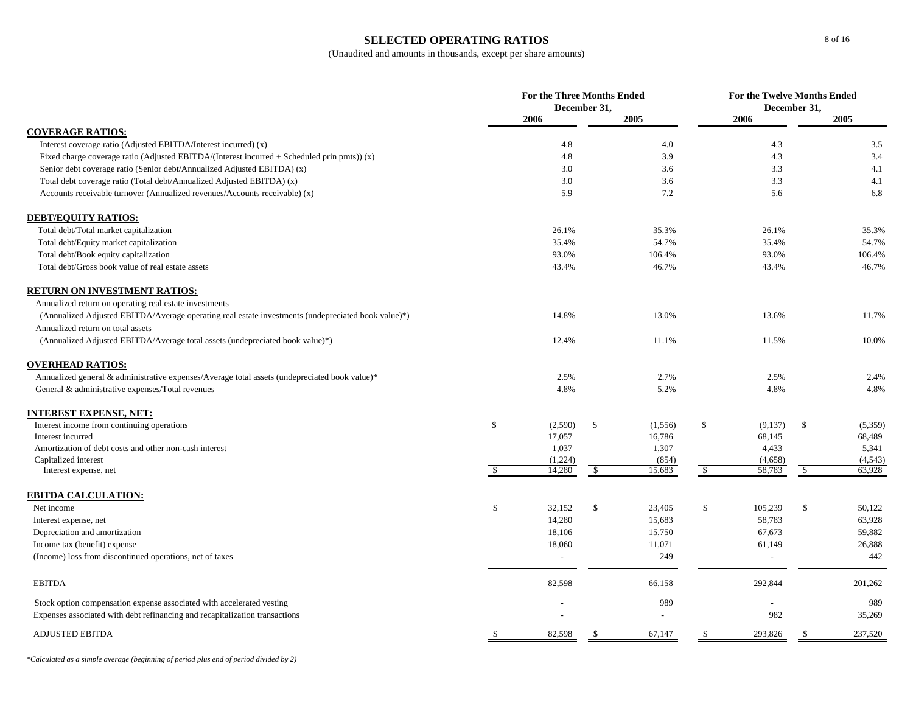### **SELECTED OPERATING RATIOS**

|                                                                                                    | For the Three Months Ended<br>December 31, |         |               | <b>For the Twelve Months Ended</b><br>December 31, |               |            |         |
|----------------------------------------------------------------------------------------------------|--------------------------------------------|---------|---------------|----------------------------------------------------|---------------|------------|---------|
|                                                                                                    |                                            | 2006    |               | 2005                                               | 2006          |            | 2005    |
| <b>COVERAGE RATIOS:</b>                                                                            |                                            |         |               |                                                    |               |            |         |
| Interest coverage ratio (Adjusted EBITDA/Interest incurred) (x)                                    |                                            | 4.8     |               | 4.0                                                | 4.3           |            | 3.5     |
| Fixed charge coverage ratio (Adjusted EBITDA/(Interest incurred + Scheduled prin pmts)) (x)        |                                            | 4.8     |               | 3.9                                                | 4.3           |            | 3.4     |
| Senior debt coverage ratio (Senior debt/Annualized Adjusted EBITDA) (x)                            |                                            | 3.0     |               | 3.6                                                | 3.3           |            | 4.1     |
| Total debt coverage ratio (Total debt/Annualized Adjusted EBITDA) (x)                              |                                            | 3.0     |               | 3.6                                                | 3.3           |            | 4.1     |
| Accounts receivable turnover (Annualized revenues/Accounts receivable) (x)                         |                                            | 5.9     |               | 7.2                                                | 5.6           |            | 6.8     |
| <b>DEBT/EQUITY RATIOS:</b>                                                                         |                                            |         |               |                                                    |               |            |         |
| Total debt/Total market capitalization                                                             |                                            | 26.1%   |               | 35.3%                                              | 26.1%         |            | 35.3%   |
| Total debt/Equity market capitalization                                                            |                                            | 35.4%   |               | 54.7%                                              | 35.4%         |            | 54.7%   |
| Total debt/Book equity capitalization                                                              |                                            | 93.0%   |               | 106.4%                                             | 93.0%         |            | 106.4%  |
| Total debt/Gross book value of real estate assets                                                  |                                            | 43.4%   |               | 46.7%                                              | 43.4%         |            | 46.7%   |
| <b>RETURN ON INVESTMENT RATIOS:</b>                                                                |                                            |         |               |                                                    |               |            |         |
| Annualized return on operating real estate investments                                             |                                            |         |               |                                                    |               |            |         |
| (Annualized Adjusted EBITDA/Average operating real estate investments (undepreciated book value)*) |                                            | 14.8%   |               | 13.0%                                              | 13.6%         |            | 11.7%   |
| Annualized return on total assets                                                                  |                                            |         |               |                                                    |               |            |         |
| (Annualized Adjusted EBITDA/Average total assets (undepreciated book value)*)                      |                                            | 12.4%   |               | 11.1%                                              | 11.5%         |            | 10.0%   |
| <b>OVERHEAD RATIOS:</b>                                                                            |                                            |         |               |                                                    |               |            |         |
| Annualized general & administrative expenses/Average total assets (undepreciated book value)*      |                                            | 2.5%    |               | 2.7%                                               | 2.5%          |            | 2.4%    |
| General & administrative expenses/Total revenues                                                   |                                            | 4.8%    |               | 5.2%                                               | 4.8%          |            | 4.8%    |
| INTEREST EXPENSE, NET:                                                                             |                                            |         |               |                                                    |               |            |         |
| Interest income from continuing operations                                                         | $\mathbb{S}$                               | (2,590) | $\mathbb{S}$  | (1, 556)                                           | \$<br>(9,137) | \$         | (5,359) |
| Interest incurred                                                                                  |                                            | 17,057  |               | 16,786                                             | 68,145        |            | 68,489  |
| Amortization of debt costs and other non-cash interest                                             |                                            | 1,037   |               | 1,307                                              | 4,433         |            | 5,341   |
| Capitalized interest                                                                               |                                            | (1,224) |               | (854)                                              | (4,658)       |            | (4,543) |
| Interest expense, net                                                                              | <sup>\$</sup>                              | 14,280  | $\sqrt{2}$    | 15,683                                             | \$<br>58,783  | $\sqrt{3}$ | 63,928  |
| <b>EBITDA CALCULATION:</b>                                                                         |                                            |         |               |                                                    |               |            |         |
| Net income                                                                                         | $\mathbb{S}$                               | 32,152  | \$            | 23,405                                             | \$<br>105,239 | \$         | 50,122  |
| Interest expense, net                                                                              |                                            | 14,280  |               | 15,683                                             | 58,783        |            | 63,928  |
| Depreciation and amortization                                                                      |                                            | 18,106  |               | 15,750                                             | 67,673        |            | 59,882  |
| Income tax (benefit) expense                                                                       |                                            | 18,060  |               | 11,071                                             | 61,149        |            | 26,888  |
| (Income) loss from discontinued operations, net of taxes                                           |                                            | $\sim$  |               | 249                                                | $\sim$        |            | 442     |
| <b>EBITDA</b>                                                                                      |                                            | 82,598  |               | 66,158                                             | 292,844       |            | 201,262 |
| Stock option compensation expense associated with accelerated vesting                              |                                            |         |               | 989                                                |               |            | 989     |
| Expenses associated with debt refinancing and recapitalization transactions                        |                                            |         |               | $\overline{\phantom{a}}$                           | 982           |            | 35,269  |
| <b>ADJUSTED EBITDA</b>                                                                             |                                            | 82,598  | <sup>\$</sup> | 67,147                                             | \$<br>293,826 | -S         | 237,520 |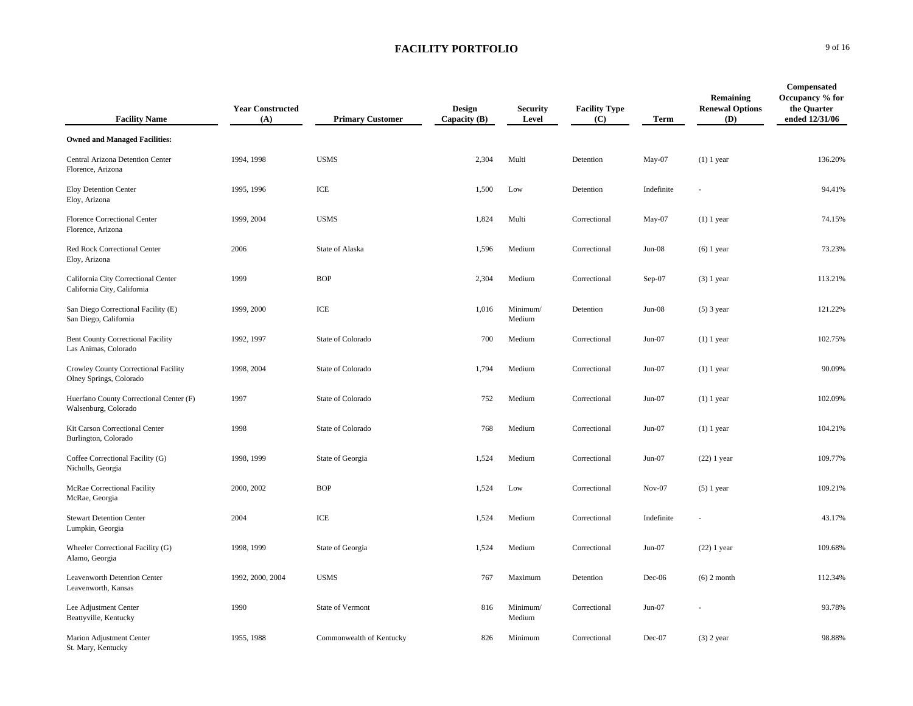| <b>Facility Name</b>                                               | <b>Year Constructed</b><br>(A) | <b>Primary Customer</b>  | <b>Design</b><br>Capacity (B) | <b>Security</b><br>Level | <b>Facility Type</b><br>(C) | <b>Term</b> | Remaining<br><b>Renewal Options</b><br>(D) | Compensated<br>Occupancy % for<br>the Quarter<br>ended 12/31/06 |
|--------------------------------------------------------------------|--------------------------------|--------------------------|-------------------------------|--------------------------|-----------------------------|-------------|--------------------------------------------|-----------------------------------------------------------------|
| <b>Owned and Managed Facilities:</b>                               |                                |                          |                               |                          |                             |             |                                            |                                                                 |
| Central Arizona Detention Center<br>Florence, Arizona              | 1994, 1998                     | <b>USMS</b>              | 2,304                         | Multi                    | Detention                   | $May-07$    | $(1)$ 1 year                               | 136.20%                                                         |
| Eloy Detention Center<br>Eloy, Arizona                             | 1995, 1996                     | ICE                      | 1,500                         | Low                      | Detention                   | Indefinite  |                                            | 94.41%                                                          |
| Florence Correctional Center<br>Florence, Arizona                  | 1999, 2004                     | <b>USMS</b>              | 1,824                         | Multi                    | Correctional                | May-07      | $(1)$ 1 year                               | 74.15%                                                          |
| Red Rock Correctional Center<br>Eloy, Arizona                      | 2006                           | State of Alaska          | 1,596                         | Medium                   | Correctional                | $Jun-08$    | $(6)$ 1 year                               | 73.23%                                                          |
| California City Correctional Center<br>California City, California | 1999                           | <b>BOP</b>               | 2,304                         | Medium                   | Correctional                | Sep-07      | $(3)$ 1 year                               | 113.21%                                                         |
| San Diego Correctional Facility (E)<br>San Diego, California       | 1999, 2000                     | ICE                      | 1,016                         | Minimum/<br>Medium       | Detention                   | $Jun-08$    | $(5)$ 3 year                               | 121.22%                                                         |
| Bent County Correctional Facility<br>Las Animas, Colorado          | 1992, 1997                     | State of Colorado        | 700                           | Medium                   | Correctional                | $Jun-07$    | $(1)$ 1 year                               | 102.75%                                                         |
| Crowley County Correctional Facility<br>Olney Springs, Colorado    | 1998, 2004                     | State of Colorado        | 1,794                         | Medium                   | Correctional                | $Jun-07$    | $(1)$ 1 year                               | 90.09%                                                          |
| Huerfano County Correctional Center (F)<br>Walsenburg, Colorado    | 1997                           | State of Colorado        | 752                           | Medium                   | Correctional                | $Jun-07$    | $(1)$ 1 year                               | 102.09%                                                         |
| Kit Carson Correctional Center<br>Burlington, Colorado             | 1998                           | State of Colorado        | 768                           | Medium                   | Correctional                | $Jun-07$    | $(1)$ 1 year                               | 104.21%                                                         |
| Coffee Correctional Facility (G)<br>Nicholls, Georgia              | 1998, 1999                     | State of Georgia         | 1,524                         | Medium                   | Correctional                | $Jun-07$    | $(22)$ 1 year                              | 109.77%                                                         |
| McRae Correctional Facility<br>McRae, Georgia                      | 2000, 2002                     | <b>BOP</b>               | 1,524                         | Low                      | Correctional                | $Nov-07$    | $(5)$ 1 year                               | 109.21%                                                         |
| <b>Stewart Detention Center</b><br>Lumpkin, Georgia                | 2004                           | ICE                      | 1,524                         | Medium                   | Correctional                | Indefinite  |                                            | 43.17%                                                          |
| Wheeler Correctional Facility (G)<br>Alamo, Georgia                | 1998, 1999                     | State of Georgia         | 1,524                         | Medium                   | Correctional                | $Jun-07$    | $(22)$ 1 year                              | 109.68%                                                         |
| Leavenworth Detention Center<br>Leavenworth, Kansas                | 1992, 2000, 2004               | <b>USMS</b>              | 767                           | Maximum                  | Detention                   | $Dec-06$    | $(6)$ 2 month                              | 112.34%                                                         |
| Lee Adjustment Center<br>Beattyville, Kentucky                     | 1990                           | State of Vermont         | 816                           | Minimum/<br>Medium       | Correctional                | $Jun-07$    |                                            | 93.78%                                                          |
| Marion Adjustment Center<br>St. Mary, Kentucky                     | 1955, 1988                     | Commonwealth of Kentucky | 826                           | Minimum                  | Correctional                | Dec-07      | $(3)$ 2 year                               | 98.88%                                                          |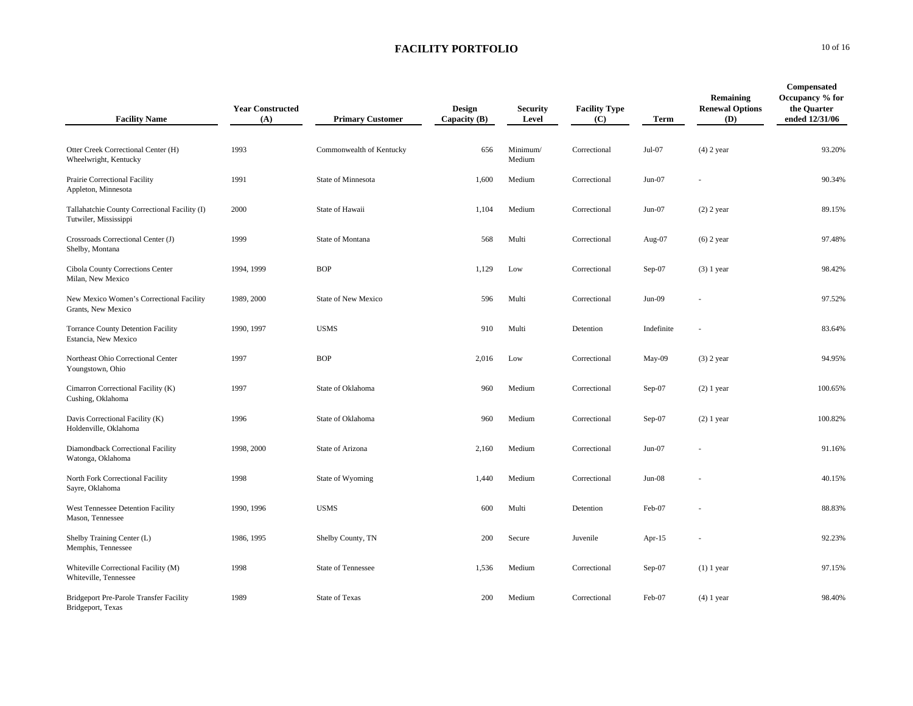| <b>Facility Name</b>                                                   | <b>Year Constructed</b><br>(A) | <b>Primary Customer</b>    | Design<br>Capacity (B) | <b>Security</b><br>Level | <b>Facility Type</b><br>(C) | <b>Term</b> | Remaining<br><b>Renewal Options</b><br>(D) | Compensated<br>Occupancy % for<br>the Ouarter<br>ended 12/31/06 |
|------------------------------------------------------------------------|--------------------------------|----------------------------|------------------------|--------------------------|-----------------------------|-------------|--------------------------------------------|-----------------------------------------------------------------|
| Otter Creek Correctional Center (H)<br>Wheelwright, Kentucky           | 1993                           | Commonwealth of Kentucky   | 656                    | Minimum/<br>Medium       | Correctional                | Jul-07      | $(4)$ 2 year                               | 93.20%                                                          |
| Prairie Correctional Facility<br>Appleton, Minnesota                   | 1991                           | State of Minnesota         | 1,600                  | Medium                   | Correctional                | $Jun-07$    |                                            | 90.34%                                                          |
| Tallahatchie County Correctional Facility (I)<br>Tutwiler, Mississippi | 2000                           | State of Hawaii            | 1,104                  | Medium                   | Correctional                | $Jun-07$    | $(2)$ 2 year                               | 89.15%                                                          |
| Crossroads Correctional Center (J)<br>Shelby, Montana                  | 1999                           | State of Montana           | 568                    | Multi                    | Correctional                | Aug-07      | $(6)$ 2 year                               | 97.48%                                                          |
| Cibola County Corrections Center<br>Milan, New Mexico                  | 1994, 1999                     | <b>BOP</b>                 | 1,129                  | Low                      | Correctional                | Sep-07      | $(3)$ 1 year                               | 98.42%                                                          |
| New Mexico Women's Correctional Facility<br>Grants, New Mexico         | 1989, 2000                     | <b>State of New Mexico</b> | 596                    | Multi                    | Correctional                | $Jun-09$    |                                            | 97.52%                                                          |
| <b>Torrance County Detention Facility</b><br>Estancia, New Mexico      | 1990, 1997                     | <b>USMS</b>                | 910                    | Multi                    | Detention                   | Indefinite  |                                            | 83.64%                                                          |
| Northeast Ohio Correctional Center<br>Youngstown, Ohio                 | 1997                           | <b>BOP</b>                 | 2,016                  | Low                      | Correctional                | May-09      | $(3)$ 2 year                               | 94.95%                                                          |
| Cimarron Correctional Facility (K)<br>Cushing, Oklahoma                | 1997                           | State of Oklahoma          | 960                    | Medium                   | Correctional                | Sep-07      | $(2)$ 1 year                               | 100.65%                                                         |
| Davis Correctional Facility (K)<br>Holdenville, Oklahoma               | 1996                           | State of Oklahoma          | 960                    | Medium                   | Correctional                | $Sep-07$    | $(2)$ 1 year                               | 100.82%                                                         |
| Diamondback Correctional Facility<br>Watonga, Oklahoma                 | 1998, 2000                     | State of Arizona           | 2,160                  | Medium                   | Correctional                | $Jun-07$    |                                            | 91.16%                                                          |
| North Fork Correctional Facility<br>Sayre, Oklahoma                    | 1998                           | State of Wyoming           | 1,440                  | Medium                   | Correctional                | $Jun-08$    |                                            | 40.15%                                                          |
| West Tennessee Detention Facility<br>Mason, Tennessee                  | 1990, 1996                     | <b>USMS</b>                | 600                    | Multi                    | Detention                   | Feb-07      |                                            | 88.83%                                                          |
| Shelby Training Center (L)<br>Memphis, Tennessee                       | 1986, 1995                     | Shelby County, TN          | 200                    | Secure                   | Juvenile                    | Apr- $15$   |                                            | 92.23%                                                          |
| Whiteville Correctional Facility (M)<br>Whiteville, Tennessee          | 1998                           | <b>State of Tennessee</b>  | 1,536                  | Medium                   | Correctional                | $Sep-07$    | $(1)$ 1 year                               | 97.15%                                                          |
| <b>Bridgeport Pre-Parole Transfer Facility</b><br>Bridgeport, Texas    | 1989                           | <b>State of Texas</b>      | 200                    | Medium                   | Correctional                | Feb-07      | $(4)$ 1 year                               | 98.40%                                                          |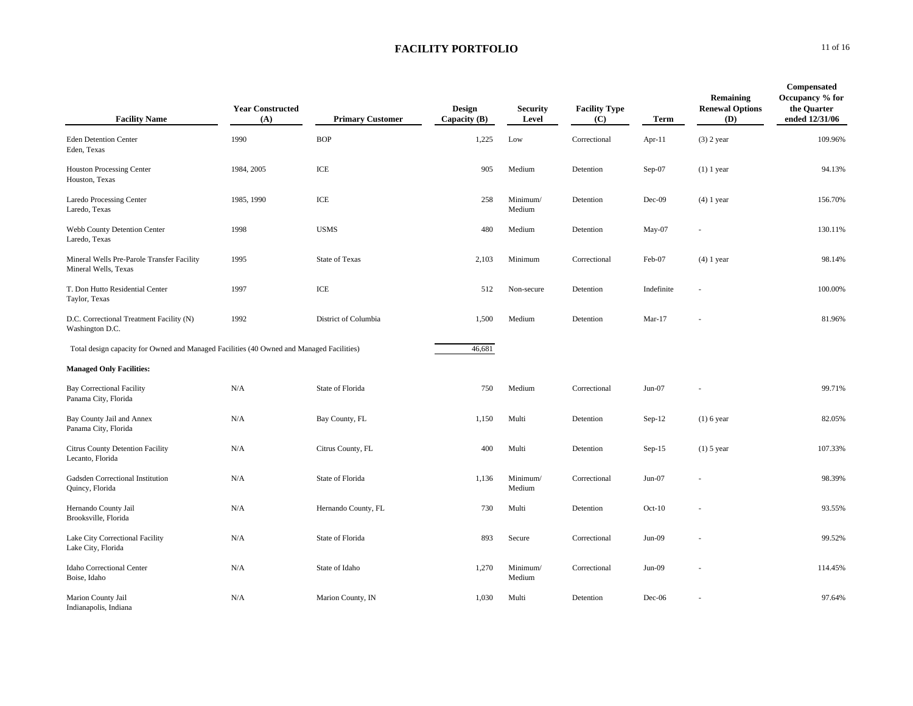| <b>Facility Name</b>                                                                     | <b>Year Constructed</b><br>(A) | <b>Primary Customer</b> | Design<br>Capacity (B) | <b>Security</b><br>Level | <b>Facility Type</b><br>(C) | <b>Term</b> | Remaining<br><b>Renewal Options</b><br>(D) | Compensated<br>Occupancy % for<br>the Quarter<br>ended 12/31/06 |
|------------------------------------------------------------------------------------------|--------------------------------|-------------------------|------------------------|--------------------------|-----------------------------|-------------|--------------------------------------------|-----------------------------------------------------------------|
| <b>Eden Detention Center</b><br>Eden, Texas                                              | 1990                           | <b>BOP</b>              | 1,225                  | Low                      | Correctional                | Apr-11      | $(3)$ 2 year                               | 109.96%                                                         |
| <b>Houston Processing Center</b><br>Houston, Texas                                       | 1984, 2005                     | ICE                     | 905                    | Medium                   | Detention                   | Sep-07      | $(1)$ 1 year                               | 94.13%                                                          |
| Laredo Processing Center<br>Laredo, Texas                                                | 1985, 1990                     | ICE                     | 258                    | Minimum/<br>Medium       | Detention                   | Dec-09      | $(4)$ 1 year                               | 156.70%                                                         |
| Webb County Detention Center<br>Laredo, Texas                                            | 1998                           | <b>USMS</b>             | 480                    | Medium                   | Detention                   | $May-07$    |                                            | 130.11%                                                         |
| Mineral Wells Pre-Parole Transfer Facility<br>Mineral Wells, Texas                       | 1995                           | <b>State of Texas</b>   | 2,103                  | Minimum                  | Correctional                | Feb-07      | $(4)$ 1 year                               | 98.14%                                                          |
| T. Don Hutto Residential Center<br>Taylor, Texas                                         | 1997                           | ICE                     | 512                    | Non-secure               | Detention                   | Indefinite  |                                            | 100.00%                                                         |
| D.C. Correctional Treatment Facility (N)<br>Washington D.C.                              | 1992                           | District of Columbia    | 1,500                  | Medium                   | Detention                   | $Mar-17$    |                                            | 81.96%                                                          |
| Total design capacity for Owned and Managed Facilities (40 Owned and Managed Facilities) |                                |                         | 46,681                 |                          |                             |             |                                            |                                                                 |
| <b>Managed Only Facilities:</b>                                                          |                                |                         |                        |                          |                             |             |                                            |                                                                 |
| <b>Bay Correctional Facility</b><br>Panama City, Florida                                 | N/A                            | State of Florida        | 750                    | Medium                   | Correctional                | $Jun-07$    |                                            | 99.71%                                                          |
| Bay County Jail and Annex<br>Panama City, Florida                                        | N/A                            | Bay County, FL          | 1,150                  | Multi                    | Detention                   | $Sep-12$    | $(1)$ 6 year                               | 82.05%                                                          |
| Citrus County Detention Facility<br>Lecanto, Florida                                     | N/A                            | Citrus County, FL       | 400                    | Multi                    | Detention                   | $Sep-15$    | $(1)$ 5 year                               | 107.33%                                                         |
| Gadsden Correctional Institution<br>Quincy, Florida                                      | N/A                            | State of Florida        | 1,136                  | Minimum/<br>Medium       | Correctional                | $Jun-07$    |                                            | 98.39%                                                          |
| Hernando County Jail<br>Brooksville, Florida                                             | N/A                            | Hernando County, FL     | 730                    | Multi                    | Detention                   | $Oct-10$    |                                            | 93.55%                                                          |
| Lake City Correctional Facility<br>Lake City, Florida                                    | N/A                            | State of Florida        | 893                    | Secure                   | Correctional                | $Jun-09$    |                                            | 99.52%                                                          |
| Idaho Correctional Center<br>Boise, Idaho                                                | N/A                            | State of Idaho          | 1,270                  | Minimum/<br>Medium       | Correctional                | $Jun-09$    |                                            | 114.45%                                                         |
| Marion County Jail<br>Indianapolis, Indiana                                              | N/A                            | Marion County, IN       | 1,030                  | Multi                    | Detention                   | Dec-06      |                                            | 97.64%                                                          |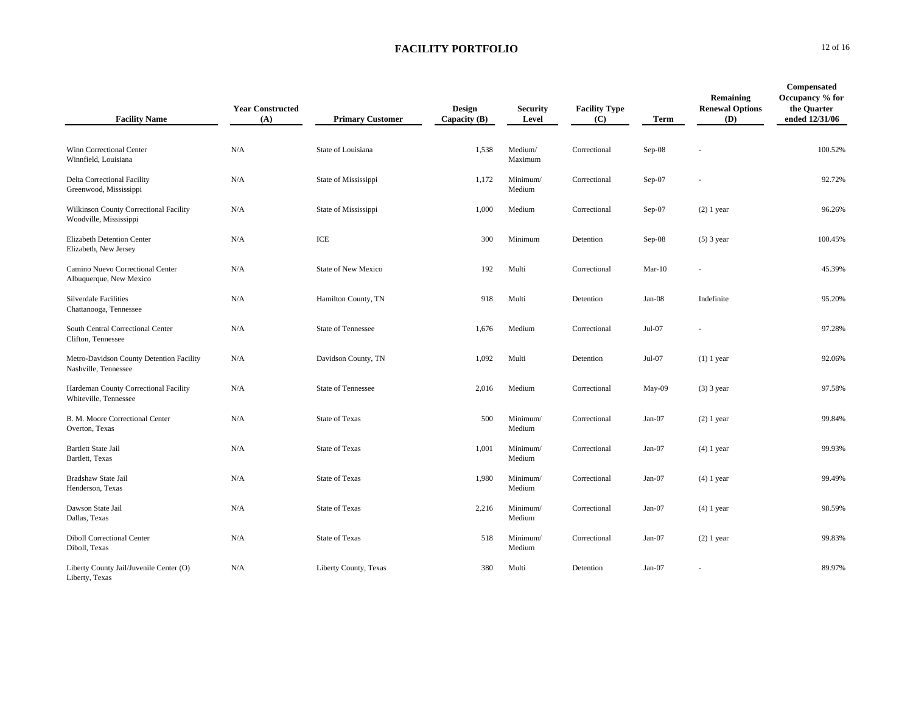| <b>Facility Name</b>                                             | <b>Year Constructed</b><br>(A) | <b>Primary Customer</b>   | <b>Design</b><br>Capacity $(B)$ | <b>Security</b><br>Level | <b>Facility Type</b><br>(C) | <b>Term</b> | Remaining<br><b>Renewal Options</b><br>(D) | Compensated<br>Occupancy % for<br>the Quarter<br>ended 12/31/06 |
|------------------------------------------------------------------|--------------------------------|---------------------------|---------------------------------|--------------------------|-----------------------------|-------------|--------------------------------------------|-----------------------------------------------------------------|
| Winn Correctional Center<br>Winnfield, Louisiana                 | N/A                            | State of Louisiana        | 1,538                           | Medium/<br>Maximum       | Correctional                | $Sep-08$    |                                            | 100.52%                                                         |
| Delta Correctional Facility<br>Greenwood, Mississippi            | N/A                            | State of Mississippi      | 1,172                           | Minimum/<br>Medium       | Correctional                | Sep-07      |                                            | 92.72%                                                          |
| Wilkinson County Correctional Facility<br>Woodville, Mississippi | N/A                            | State of Mississippi      | 1,000                           | Medium                   | Correctional                | $Sep-07$    | $(2)$ 1 year                               | 96.26%                                                          |
| Elizabeth Detention Center<br>Elizabeth, New Jersey              | N/A                            | ICE                       | 300                             | Minimum                  | Detention                   | $Sep-08$    | $(5)$ 3 year                               | 100.45%                                                         |
| Camino Nuevo Correctional Center<br>Albuquerque, New Mexico      | N/A                            | State of New Mexico       | 192                             | Multi                    | Correctional                | $Mar-10$    |                                            | 45.39%                                                          |
| <b>Silverdale Facilities</b><br>Chattanooga, Tennessee           | N/A                            | Hamilton County, TN       | 918                             | Multi                    | Detention                   | $Jan-08$    | Indefinite                                 | 95.20%                                                          |
| South Central Correctional Center<br>Clifton, Tennessee          | N/A                            | <b>State of Tennessee</b> | 1,676                           | Medium                   | Correctional                | Jul-07      |                                            | 97.28%                                                          |
| Metro-Davidson County Detention Facility<br>Nashville, Tennessee | N/A                            | Davidson County, TN       | 1,092                           | Multi                    | Detention                   | Jul-07      | $(1)$ 1 year                               | 92.06%                                                          |
| Hardeman County Correctional Facility<br>Whiteville, Tennessee   | N/A                            | <b>State of Tennessee</b> | 2,016                           | Medium                   | Correctional                | May-09      | $(3)$ 3 year                               | 97.58%                                                          |
| B. M. Moore Correctional Center<br>Overton, Texas                | N/A                            | <b>State of Texas</b>     | 500                             | Minimum/<br>Medium       | Correctional                | $Jan-07$    | $(2)$ 1 year                               | 99.84%                                                          |
| <b>Bartlett State Jail</b><br>Bartlett, Texas                    | N/A                            | <b>State of Texas</b>     | 1,001                           | Minimum/<br>Medium       | Correctional                | $Jan-07$    | $(4)$ 1 year                               | 99.93%                                                          |
| Bradshaw State Jail<br>Henderson, Texas                          | N/A                            | <b>State of Texas</b>     | 1,980                           | Minimum/<br>Medium       | Correctional                | $Jan-07$    | $(4)$ 1 year                               | 99.49%                                                          |
| Dawson State Jail<br>Dallas, Texas                               | N/A                            | <b>State of Texas</b>     | 2,216                           | Minimum/<br>Medium       | Correctional                | $Jan-07$    | $(4)$ 1 year                               | 98.59%                                                          |
| <b>Diboll Correctional Center</b><br>Diboll, Texas               | N/A                            | <b>State of Texas</b>     | 518                             | Minimum/<br>Medium       | Correctional                | $Jan-07$    | $(2)$ 1 year                               | 99.83%                                                          |
| Liberty County Jail/Juvenile Center (O)<br>Liberty, Texas        | N/A                            | Liberty County, Texas     | 380                             | Multi                    | Detention                   | $Jan-07$    |                                            | 89.97%                                                          |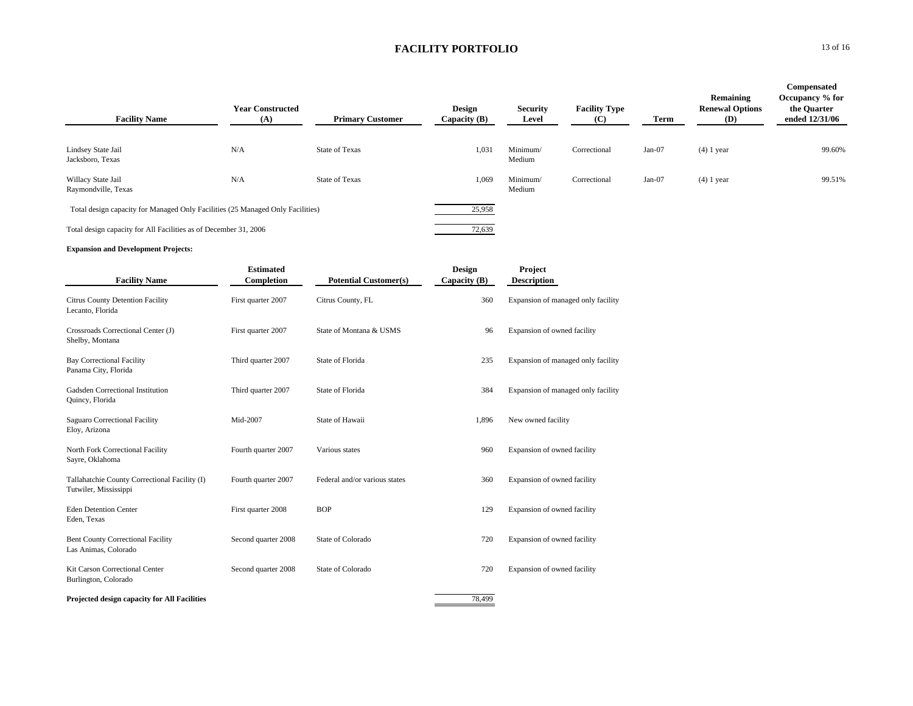| <b>Facility Name</b>                                                           | <b>Year Constructed</b><br>(A) | <b>Primary Customer</b> | <b>Design</b><br>Capacity $(B)$ | <b>Security</b><br>Level | <b>Facility Type</b><br>(C) | Term     | Remaining<br><b>Renewal Options</b><br>(D) | Compensated<br>Occupancy % for<br>the Quarter<br>ended 12/31/06 |
|--------------------------------------------------------------------------------|--------------------------------|-------------------------|---------------------------------|--------------------------|-----------------------------|----------|--------------------------------------------|-----------------------------------------------------------------|
| Lindsey State Jail<br>Jacksboro, Texas                                         | N/A                            | <b>State of Texas</b>   | 1,031                           | Minimum/<br>Medium       | Correctional                | Jan-07   | $(4)$ 1 year                               | 99.60%                                                          |
| Willacy State Jail<br>Raymondville, Texas                                      | N/A                            | <b>State of Texas</b>   | 1,069                           | Minimum/<br>Medium       | Correctional                | $Jan-07$ | $(4)$ 1 year                               | 99.51%                                                          |
| Total design capacity for Managed Only Facilities (25 Managed Only Facilities) |                                |                         | 25,958                          |                          |                             |          |                                            |                                                                 |
| Total design capacity for All Facilities as of December 31, 2006               |                                |                         | 72,639                          |                          |                             |          |                                            |                                                                 |

#### **Expansion and Development Projects:**

|                                                                        | <b>Estimated</b>    |                               | Design       | Project                            |  |
|------------------------------------------------------------------------|---------------------|-------------------------------|--------------|------------------------------------|--|
| <b>Facility Name</b>                                                   | Completion          | <b>Potential Customer(s)</b>  | Capacity (B) | <b>Description</b>                 |  |
| <b>Citrus County Detention Facility</b><br>Lecanto, Florida            | First quarter 2007  | Citrus County, FL             | 360          | Expansion of managed only facility |  |
| Crossroads Correctional Center (J)<br>Shelby, Montana                  | First quarter 2007  | State of Montana & USMS       | 96           | Expansion of owned facility        |  |
| <b>Bay Correctional Facility</b><br>Panama City, Florida               | Third quarter 2007  | State of Florida              | 235          | Expansion of managed only facility |  |
| Gadsden Correctional Institution<br>Quincy, Florida                    | Third quarter 2007  | State of Florida              | 384          | Expansion of managed only facility |  |
| Saguaro Correctional Facility<br>Eloy, Arizona                         | Mid-2007            | State of Hawaii               | 1,896        | New owned facility                 |  |
| North Fork Correctional Facility<br>Sayre, Oklahoma                    | Fourth quarter 2007 | Various states                | 960          | Expansion of owned facility        |  |
| Tallahatchie County Correctional Facility (I)<br>Tutwiler, Mississippi | Fourth quarter 2007 | Federal and/or various states | 360          | Expansion of owned facility        |  |
| <b>Eden Detention Center</b><br>Eden, Texas                            | First quarter 2008  | <b>BOP</b>                    | 129          | Expansion of owned facility        |  |
| <b>Bent County Correctional Facility</b><br>Las Animas, Colorado       | Second quarter 2008 | State of Colorado             | 720          | Expansion of owned facility        |  |
| Kit Carson Correctional Center<br>Burlington, Colorado                 | Second quarter 2008 | <b>State of Colorado</b>      | 720          | Expansion of owned facility        |  |
| Projected design capacity for All Facilities                           |                     |                               | 78.499       |                                    |  |

 $\mathbf{0}$  13 of 16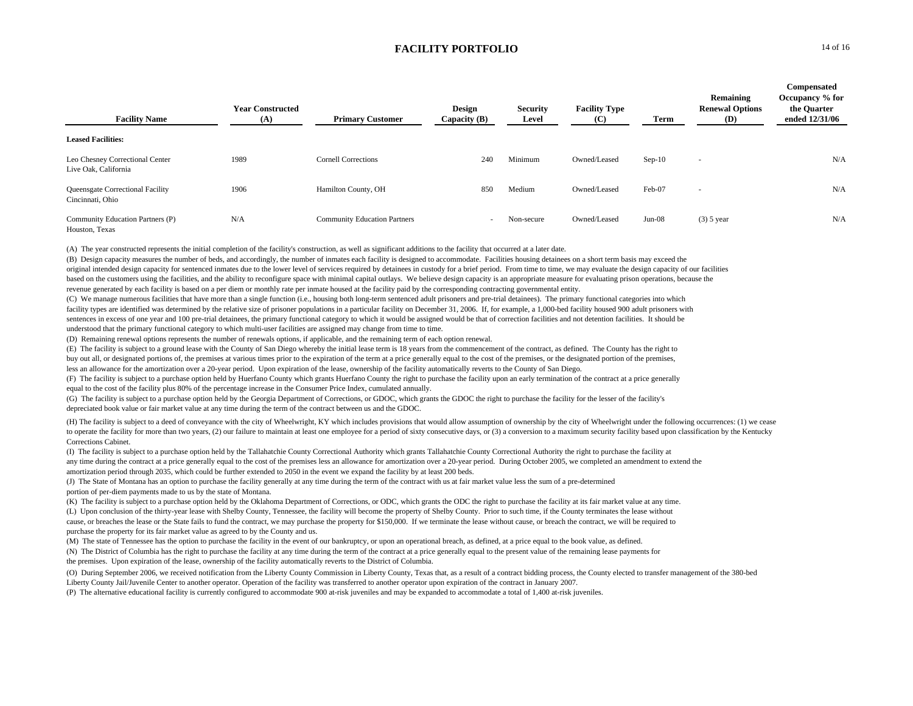| <b>Facility Name</b>                                    | <b>Year Constructed</b><br>(A) | <b>Primary Customer</b>             | Design<br>Capacity (B) | <b>Security</b><br>Level | <b>Facility Type</b><br>(C) | Term     | Remaining<br><b>Renewal Options</b><br>(D) | Compensated<br>Occupancy % for<br>the Ouarter<br>ended 12/31/06 |
|---------------------------------------------------------|--------------------------------|-------------------------------------|------------------------|--------------------------|-----------------------------|----------|--------------------------------------------|-----------------------------------------------------------------|
| <b>Leased Facilities:</b>                               |                                |                                     |                        |                          |                             |          |                                            |                                                                 |
| Leo Chesney Correctional Center<br>Live Oak, California | 1989                           | <b>Cornell Corrections</b>          | 240                    | Minimum                  | Owned/Leased                | $Sep-10$ | $\overline{\phantom{a}}$                   | N/A                                                             |
| Queensgate Correctional Facility<br>Cincinnati, Ohio    | 1906                           | Hamilton County, OH                 | 850                    | Medium                   | Owned/Leased                | Feb-07   | $\sim$                                     | N/A                                                             |
| Community Education Partners (P)<br>Houston, Texas      | N/A                            | <b>Community Education Partners</b> | $\sim$                 | Non-secure               | Owned/Leased                | $Jun-08$ | $(3)$ 5 year                               | N/A                                                             |

(A) The year constructed represents the initial completion of the facility's construction, as well as significant additions to the facility that occurred at a later date.

(B) Design capacity measures the number of beds, and accordingly, the number of inmates each facility is designed to accommodate. Facilities housing detainees on a short term basis may exceed the original intended design capacity for sentenced inmates due to the lower level of services required by detainees in custody for a brief period. From time to time, we may evaluate the design capacity of our facilities based on the customers using the facilities, and the ability to reconfigure space with minimal capital outlays. We believe design capacity is an appropriate measure for evaluating prison operations, because the revenue generated by each facility is based on a per diem or monthly rate per inmate housed at the facility paid by the corresponding contracting governmental entity.

(C) We manage numerous facilities that have more than a single function (i.e., housing both long-term sentenced adult prisoners and pre-trial detainees). The primary functional categories into which facility types are identified was determined by the relative size of prisoner populations in a particular facility on December 31, 2006. If, for example, a 1,000-bed facility housed 900 adult prisoners with sentences in excess of one year and 100 pre-trial detainees, the primary functional category to which it would be assigned would be that of correction facilities and not detention facilities. It should be understood that the primary functional category to which multi-user facilities are assigned may change from time to time.

(D) Remaining renewal options represents the number of renewals options, if applicable, and the remaining term of each option renewal.

(E) The facility is subject to a ground lease with the County of San Diego whereby the initial lease term is 18 years from the commencement of the contract, as defined. The County has the right to

buy out all, or designated portions of, the premises at various times prior to the expiration of the term at a price generally equal to the cost of the premises, or the designated portion of the premises,

less an allowance for the amortization over a 20-year period. Upon expiration of the lease, ownership of the facility automatically reverts to the County of San Diego.

(F) The facility is subject to a purchase option held by Huerfano County which grants Huerfano County the right to purchase the facility upon an early termination of the contract at a price generally equal to the cost of the facility plus 80% of the percentage increase in the Consumer Price Index, cumulated annually.

(G) The facility is subject to a purchase option held by the Georgia Department of Corrections, or GDOC, which grants the GDOC the right to purchase the facility for the lesser of the facility's depreciated book value or fair market value at any time during the term of the contract between us and the GDOC.

(H) The facility is subject to a deed of conveyance with the city of Wheelwright, KY which includes provisions that would allow assumption of ownership by the city of Wheelwright under the following occurrences: (1) we cease to operate the facility for more than two years, (2) our failure to maintain at least one employee for a period of sixty consecutive days, or (3) a conversion to a maximum security facility based upon classification by the Corrections Cabinet.

(I) The facility is subject to a purchase option held by the Tallahatchie County Correctional Authority which grants Tallahatchie County Correctional Authority the right to purchase the facility at any time during the contract at a price generally equal to the cost of the premises less an allowance for amortization over a 20-year period. During October 2005, we completed an amendment to extend the amortization period through 2035, which could be further extended to 2050 in the event we expand the facility by at least 200 beds.

(J) The State of Montana has an option to purchase the facility generally at any time during the term of the contract with us at fair market value less the sum of a pre-determined portion of per-diem payments made to us by the state of Montana.

(K) The facility is subject to a purchase option held by the Oklahoma Department of Corrections, or ODC, which grants the ODC the right to purchase the facility at its fair market value at any time. (L) Upon conclusion of the thirty-year lease with Shelby County, Tennessee, the facility will become the property of Shelby County. Prior to such time, if the County terminates the lease without cause, or breaches the lease or the State fails to fund the contract, we may purchase the property for \$150,000. If we terminate the lease without cause, or breach the contract, we will be required to purchase the property for its fair market value as agreed to by the County and us.

(M) The state of Tennessee has the option to purchase the facility in the event of our bankruptcy, or upon an operational breach, as defined, at a price equal to the book value, as defined.

(N) The District of Columbia has the right to purchase the facility at any time during the term of the contract at a price generally equal to the present value of the remaining lease payments for the premises. Upon expiration of the lease, ownership of the facility automatically reverts to the District of Columbia.

(O) During September 2006, we received notification from the Liberty County Commission in Liberty County, Texas that, as a result of a contract bidding process, the County elected to transfer management of the 380-bed Liberty County Jail/Juvenile Center to another operator. Operation of the facility was transferred to another operator upon expiration of the contract in January 2007.

(P) The alternative educational facility is currently configured to accommodate 900 at-risk juveniles and may be expanded to accommodate a total of 1,400 at-risk juveniles.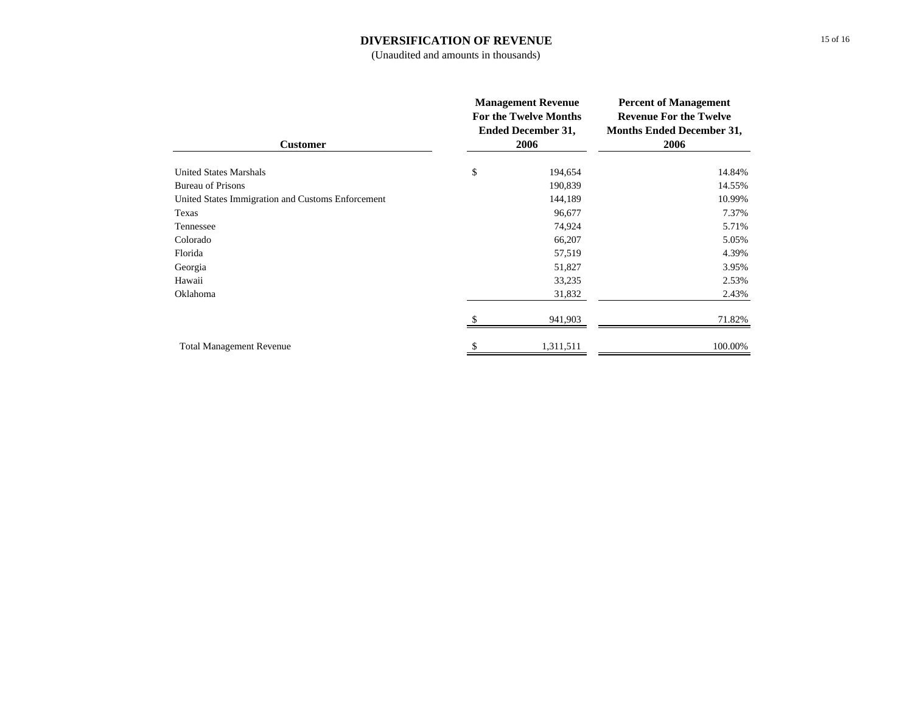#### **DIVERSIFICATION OF REVENUE**

(Unaudited and amounts in thousands)

| <b>Customer</b>                                   | <b>Management Revenue</b><br><b>For the Twelve Months</b><br><b>Ended December 31,</b><br>2006 |           | <b>Percent of Management</b><br><b>Revenue For the Twelve</b><br><b>Months Ended December 31,</b><br>2006 |  |
|---------------------------------------------------|------------------------------------------------------------------------------------------------|-----------|-----------------------------------------------------------------------------------------------------------|--|
| <b>United States Marshals</b>                     | \$                                                                                             | 194,654   | 14.84%                                                                                                    |  |
| <b>Bureau of Prisons</b>                          |                                                                                                | 190,839   | 14.55%                                                                                                    |  |
| United States Immigration and Customs Enforcement |                                                                                                | 144,189   | 10.99%                                                                                                    |  |
| Texas                                             |                                                                                                | 96,677    | 7.37%                                                                                                     |  |
| Tennessee                                         |                                                                                                | 74,924    | 5.71%                                                                                                     |  |
| Colorado                                          |                                                                                                | 66,207    | 5.05%                                                                                                     |  |
| Florida                                           |                                                                                                | 57,519    | 4.39%                                                                                                     |  |
| Georgia                                           |                                                                                                | 51,827    | 3.95%                                                                                                     |  |
| Hawaii                                            |                                                                                                | 33,235    | 2.53%                                                                                                     |  |
| Oklahoma                                          |                                                                                                | 31,832    | 2.43%                                                                                                     |  |
|                                                   |                                                                                                | 941,903   | 71.82%                                                                                                    |  |
| <b>Total Management Revenue</b>                   |                                                                                                | 1,311,511 | 100.00%                                                                                                   |  |